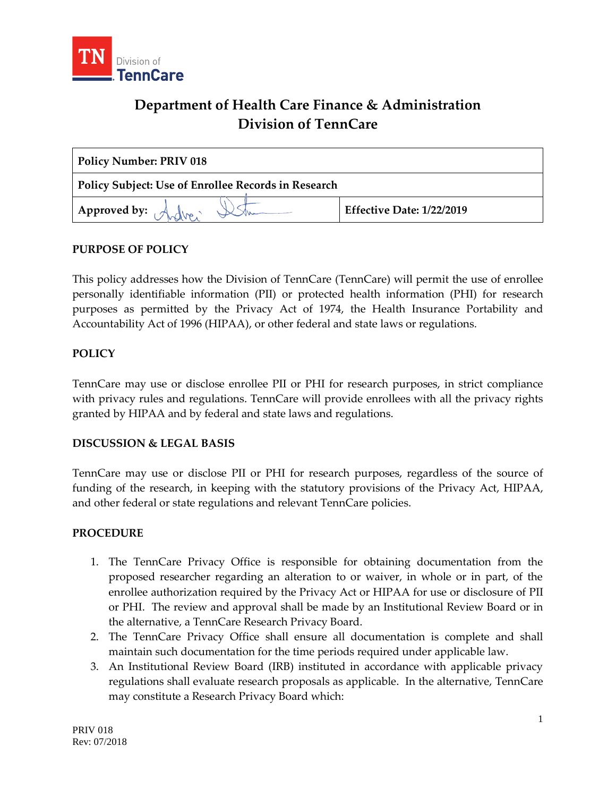

# **Department of Health Care Finance & Administration Division of TennCare**

| <b>Policy Number: PRIV 018</b>                             |                           |
|------------------------------------------------------------|---------------------------|
| <b>Policy Subject: Use of Enrollee Records in Research</b> |                           |
| Approved by: $\mathcal{A}$                                 | Effective Date: 1/22/2019 |

# **PURPOSE OF POLICY**

This policy addresses how the Division of TennCare (TennCare) will permit the use of enrollee personally identifiable information (PII) or protected health information (PHI) for research purposes as permitted by the Privacy Act of 1974, the Health Insurance Portability and Accountability Act of 1996 (HIPAA), or other federal and state laws or regulations.

# **POLICY**

TennCare may use or disclose enrollee PII or PHI for research purposes, in strict compliance with privacy rules and regulations. TennCare will provide enrollees with all the privacy rights granted by HIPAA and by federal and state laws and regulations.

#### **DISCUSSION & LEGAL BASIS**

TennCare may use or disclose PII or PHI for research purposes, regardless of the source of funding of the research, in keeping with the statutory provisions of the Privacy Act, HIPAA, and other federal or state regulations and relevant TennCare policies.

#### **PROCEDURE**

- 1. The TennCare Privacy Office is responsible for obtaining documentation from the proposed researcher regarding an alteration to or waiver, in whole or in part, of the enrollee authorization required by the Privacy Act or HIPAA for use or disclosure of PII or PHI. The review and approval shall be made by an Institutional Review Board or in the alternative, a TennCare Research Privacy Board.
- 2. The TennCare Privacy Office shall ensure all documentation is complete and shall maintain such documentation for the time periods required under applicable law.
- 3. An Institutional Review Board (IRB) instituted in accordance with applicable privacy regulations shall evaluate research proposals as applicable. In the alternative, TennCare may constitute a Research Privacy Board which: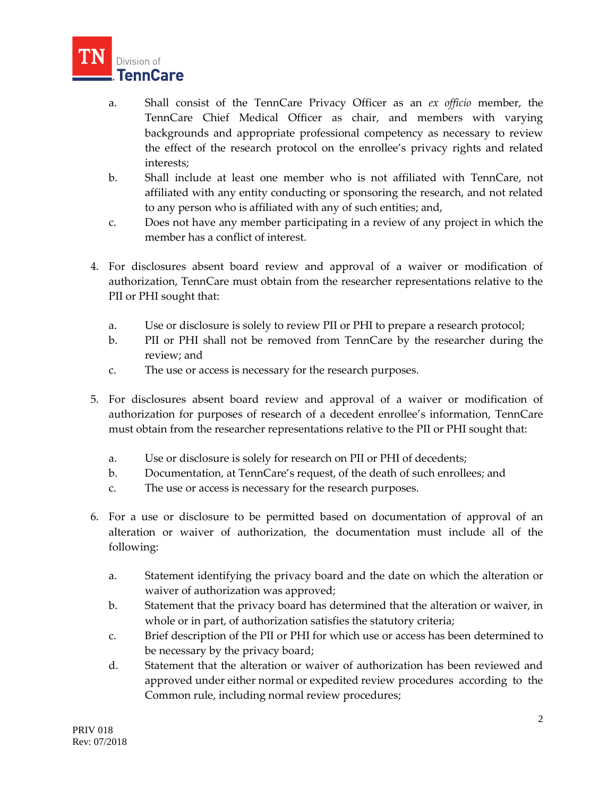

- a. Shall consist of the TennCare Privacy Officer as an *ex officio* member, the TennCare Chief Medical Officer as chair, and members with varying backgrounds and appropriate professional competency as necessary to review the effect of the research protocol on the enrollee's privacy rights and related interests;
- b. Shall include at least one member who is not affiliated with TennCare, not affiliated with any entity conducting or sponsoring the research, and not related to any person who is affiliated with any of such entities; and,
- c. Does not have any member participating in a review of any project in which the member has a conflict of interest.
- 4. For disclosures absent board review and approval of a waiver or modification of authorization, TennCare must obtain from the researcher representations relative to the PII or PHI sought that:
	- a. Use or disclosure is solely to review PII or PHI to prepare a research protocol;
	- b. PII or PHI shall not be removed from TennCare by the researcher during the review; and
	- c. The use or access is necessary for the research purposes.
- 5. For disclosures absent board review and approval of a waiver or modification of authorization for purposes of research of a decedent enrollee's information, TennCare must obtain from the researcher representations relative to the PII or PHI sought that:
	- a. Use or disclosure is solely for research on PII or PHI of decedents;
	- b. Documentation, at TennCare's request, of the death of such enrollees; and
	- c. The use or access is necessary for the research purposes.
- 6. For a use or disclosure to be permitted based on documentation of approval of an alteration or waiver of authorization, the documentation must include all of the following:
	- a. Statement identifying the privacy board and the date on which the alteration or waiver of authorization was approved;
	- b. Statement that the privacy board has determined that the alteration or waiver, in whole or in part, of authorization satisfies the statutory criteria;
	- c. Brief description of the PII or PHI for which use or access has been determined to be necessary by the privacy board;
	- d. Statement that the alteration or waiver of authorization has been reviewed and approved under either normal or expedited review procedures according to the Common rule, including normal review procedures;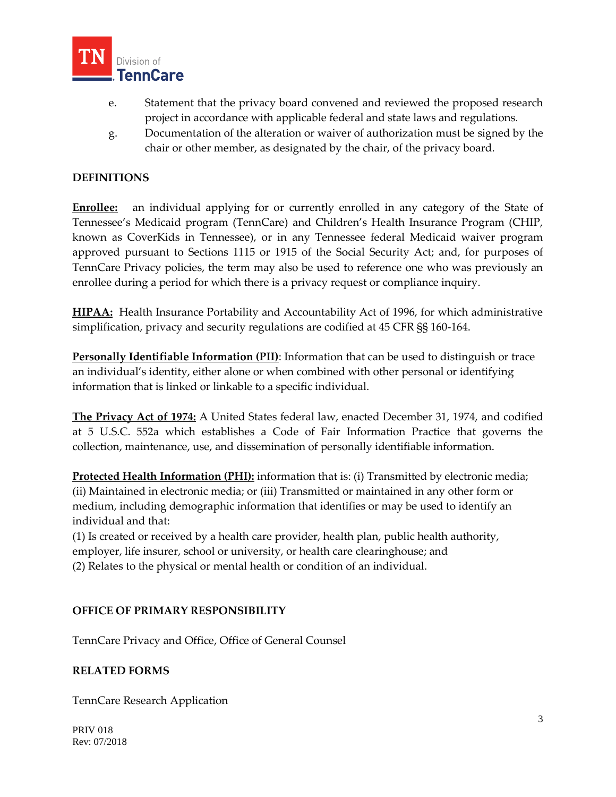

- e. Statement that the privacy board convened and reviewed the proposed research project in accordance with applicable federal and state laws and regulations.
- g. Documentation of the alteration or waiver of authorization must be signed by the chair or other member, as designated by the chair, of the privacy board.

### **DEFINITIONS**

**Enrollee:** an individual applying for or currently enrolled in any category of the State of Tennessee's Medicaid program (TennCare) and Children's Health Insurance Program (CHIP, known as CoverKids in Tennessee), or in any Tennessee federal Medicaid waiver program approved pursuant to Sections 1115 or 1915 of the Social Security Act; and, for purposes of TennCare Privacy policies, the term may also be used to reference one who was previously an enrollee during a period for which there is a privacy request or compliance inquiry.

**HIPAA:** Health Insurance Portability and Accountability Act of 1996, for which administrative simplification, privacy and security regulations are codified at 45 CFR §§ 160-164.

**Personally Identifiable Information (PII)**: Information that can be used to distinguish or trace an individual's identity, either alone or when combined with other personal or identifying information that is linked or linkable to a specific individual.

**The Privacy Act of 1974:** A United States federal law, enacted December 31, 1974, and codified at 5 U.S.C. 552a which establishes a Code of Fair Information Practice that governs the collection, maintenance, use, and dissemination of personally identifiable information.

**Protected Health Information (PHI):** information that is: (i) Transmitted by electronic media; (ii) Maintained in electronic media; or (iii) Transmitted or maintained in any other form or medium, including demographic information that identifies or may be used to identify an individual and that:

(1) Is created or received by a health care provider, health plan, public health authority, employer, life insurer, school or university, or health care clearinghouse; and (2) Relates to the physical or mental health or condition of an individual.

#### **OFFICE OF PRIMARY RESPONSIBILITY**

TennCare Privacy and Office, Office of General Counsel

#### **RELATED FORMS**

TennCare Research Application